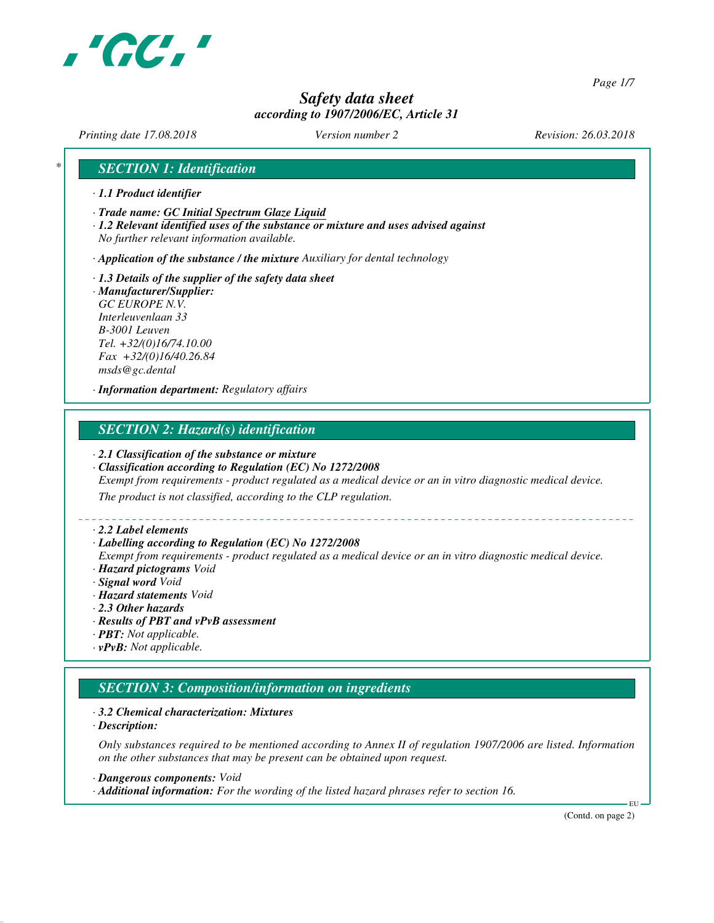

*Page 1/7*

# *Safety data sheet according to 1907/2006/EC, Article 31*

*Printing date 17.08.2018 Version number 2 Revision: 26.03.2018*

# *\* SECTION 1: Identification*

- *· 1.1 Product identifier*
- *· Trade name: GC Initial Spectrum Glaze Liquid*
- *· 1.2 Relevant identified uses of the substance or mixture and uses advised against No further relevant information available.*

*· Application of the substance / the mixture Auxiliary for dental technology*

*· 1.3 Details of the supplier of the safety data sheet · Manufacturer/Supplier: GC EUROPE N.V. Interleuvenlaan 33 B-3001 Leuven Tel. +32/(0)16/74.10.00 Fax +32/(0)16/40.26.84 msds@gc.dental*

*· Information department: Regulatory affairs*

# *SECTION 2: Hazard(s) identification*

#### *· 2.1 Classification of the substance or mixture*

- *· Classification according to Regulation (EC) No 1272/2008 Exempt from requirements - product regulated as a medical device or an in vitro diagnostic medical device. The product is not classified, according to the CLP regulation.*
- *· 2.2 Label elements*
- *· Labelling according to Regulation (EC) No 1272/2008*
- *Exempt from requirements product regulated as a medical device or an in vitro diagnostic medical device.*
- *· Hazard pictograms Void*
- *· Signal word Void*
- *· Hazard statements Void*
- *· 2.3 Other hazards*
- *· Results of PBT and vPvB assessment*
- *· PBT: Not applicable.*
- *· vPvB: Not applicable.*

# *SECTION 3: Composition/information on ingredients*

- *· 3.2 Chemical characterization: Mixtures*
- *· Description:*

*Only substances required to be mentioned according to Annex II of regulation 1907/2006 are listed. Information on the other substances that may be present can be obtained upon request.*

- *· Dangerous components: Void*
- *· Additional information: For the wording of the listed hazard phrases refer to section 16.*

(Contd. on page 2)

EU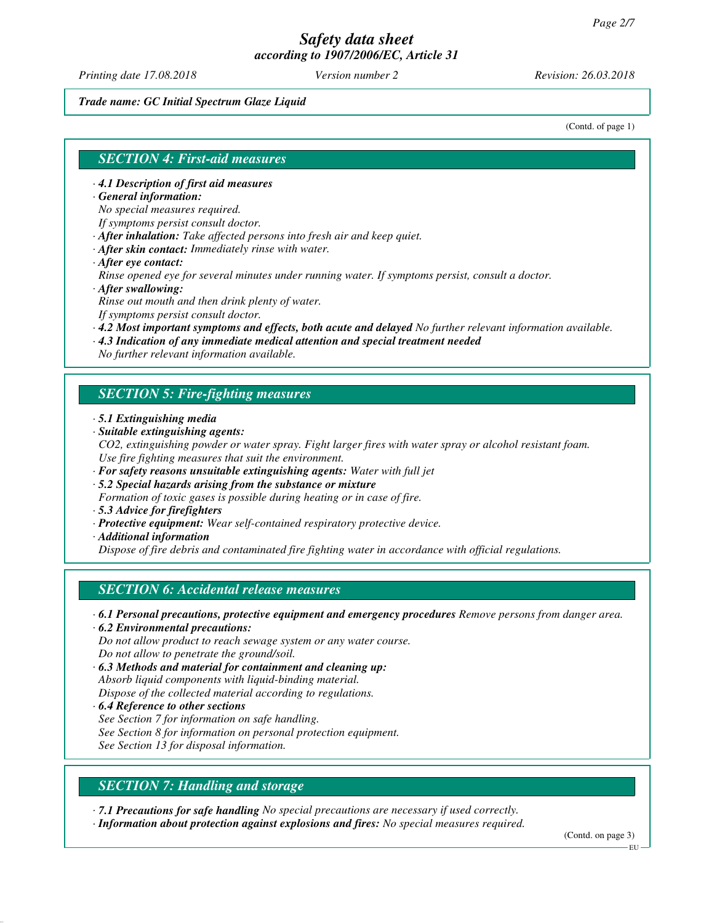*Printing date 17.08.2018 Version number 2 Revision: 26.03.2018*

#### *Trade name: GC Initial Spectrum Glaze Liquid*

(Contd. of page 1)

#### *SECTION 4: First-aid measures*

- *· 4.1 Description of first aid measures*
- *· General information:*

*No special measures required.*

*If symptoms persist consult doctor.*

- *· After inhalation: Take affected persons into fresh air and keep quiet.*
- *· After skin contact: Immediately rinse with water.*
- *· After eye contact:*

*Rinse opened eye for several minutes under running water. If symptoms persist, consult a doctor. · After swallowing:*

*Rinse out mouth and then drink plenty of water.*

*If symptoms persist consult doctor.*

- *· 4.2 Most important symptoms and effects, both acute and delayed No further relevant information available.*
- *· 4.3 Indication of any immediate medical attention and special treatment needed*

*No further relevant information available.*

## *SECTION 5: Fire-fighting measures*

- *· 5.1 Extinguishing media*
- *· Suitable extinguishing agents:*
- *CO2, extinguishing powder or water spray. Fight larger fires with water spray or alcohol resistant foam. Use fire fighting measures that suit the environment.*
- *· For safety reasons unsuitable extinguishing agents: Water with full jet*
- *· 5.2 Special hazards arising from the substance or mixture*
- *Formation of toxic gases is possible during heating or in case of fire.*
- *· 5.3 Advice for firefighters*
- *· Protective equipment: Wear self-contained respiratory protective device.*
- *· Additional information*

*Dispose of fire debris and contaminated fire fighting water in accordance with official regulations.*

# *SECTION 6: Accidental release measures*

- *· 6.1 Personal precautions, protective equipment and emergency procedures Remove persons from danger area. · 6.2 Environmental precautions:*
- *Do not allow product to reach sewage system or any water course. Do not allow to penetrate the ground/soil.*
- *· 6.3 Methods and material for containment and cleaning up: Absorb liquid components with liquid-binding material. Dispose of the collected material according to regulations.*
- *· 6.4 Reference to other sections See Section 7 for information on safe handling. See Section 8 for information on personal protection equipment. See Section 13 for disposal information.*
- *SECTION 7: Handling and storage*

*· 7.1 Precautions for safe handling No special precautions are necessary if used correctly.*

*· Information about protection against explosions and fires: No special measures required.*

(Contd. on page 3)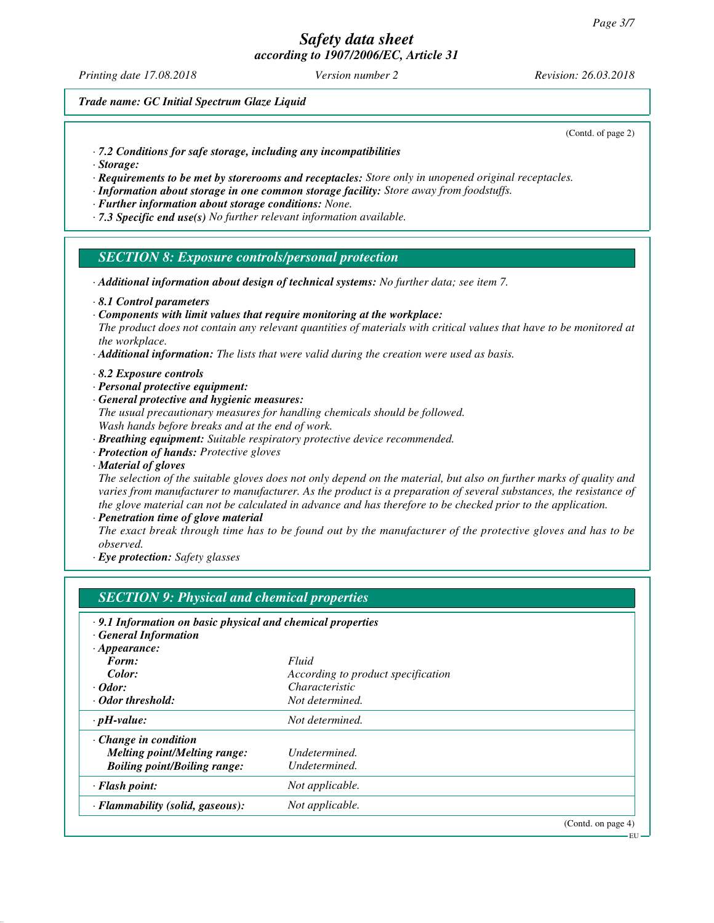*Printing date 17.08.2018 Version number 2 Revision: 26.03.2018*

*Trade name: GC Initial Spectrum Glaze Liquid*

(Contd. of page 2)

- *· 7.2 Conditions for safe storage, including any incompatibilities*
- *· Storage:*
- *· Requirements to be met by storerooms and receptacles: Store only in unopened original receptacles.*
- *· Information about storage in one common storage facility: Store away from foodstuffs.*
- *· Further information about storage conditions: None.*
- *· 7.3 Specific end use(s) No further relevant information available.*

#### *SECTION 8: Exposure controls/personal protection*

- *· Additional information about design of technical systems: No further data; see item 7.*
- *· 8.1 Control parameters*
- *· Components with limit values that require monitoring at the workplace:*

*The product does not contain any relevant quantities of materials with critical values that have to be monitored at the workplace.*

- *· Additional information: The lists that were valid during the creation were used as basis.*
- *· 8.2 Exposure controls*
- *· Personal protective equipment:*
- *· General protective and hygienic measures:*
- *The usual precautionary measures for handling chemicals should be followed. Wash hands before breaks and at the end of work.*
- *· Breathing equipment: Suitable respiratory protective device recommended.*
- *· Protection of hands: Protective gloves*
- *· Material of gloves*

*The selection of the suitable gloves does not only depend on the material, but also on further marks of quality and varies from manufacturer to manufacturer. As the product is a preparation of several substances, the resistance of the glove material can not be calculated in advance and has therefore to be checked prior to the application.*

*· Penetration time of glove material*

*The exact break through time has to be found out by the manufacturer of the protective gloves and has to be observed.*

*· Eye protection: Safety glasses*

| <b>SECTION 9: Physical and chemical properties</b>         |                                    |                    |
|------------------------------------------------------------|------------------------------------|--------------------|
| .9.1 Information on basic physical and chemical properties |                                    |                    |
| <b>General Information</b>                                 |                                    |                    |
| $\cdot$ Appearance:                                        |                                    |                    |
| Form:                                                      | Fluid                              |                    |
| Color:                                                     | According to product specification |                    |
| $\cdot$ Odor:                                              | <i>Characteristic</i>              |                    |
| · Odor threshold:                                          | Not determined.                    |                    |
| $\cdot$ pH-value:                                          | Not determined.                    |                    |
| $\cdot$ Change in condition                                |                                    |                    |
| <b>Melting point/Melting range:</b>                        | Undetermined.                      |                    |
| <b>Boiling point/Boiling range:</b>                        | Undetermined.                      |                    |
| $\cdot$ Flash point:                                       | Not applicable.                    |                    |
| · Flammability (solid, gaseous):                           | Not applicable.                    |                    |
|                                                            |                                    | (Contd. on page 4) |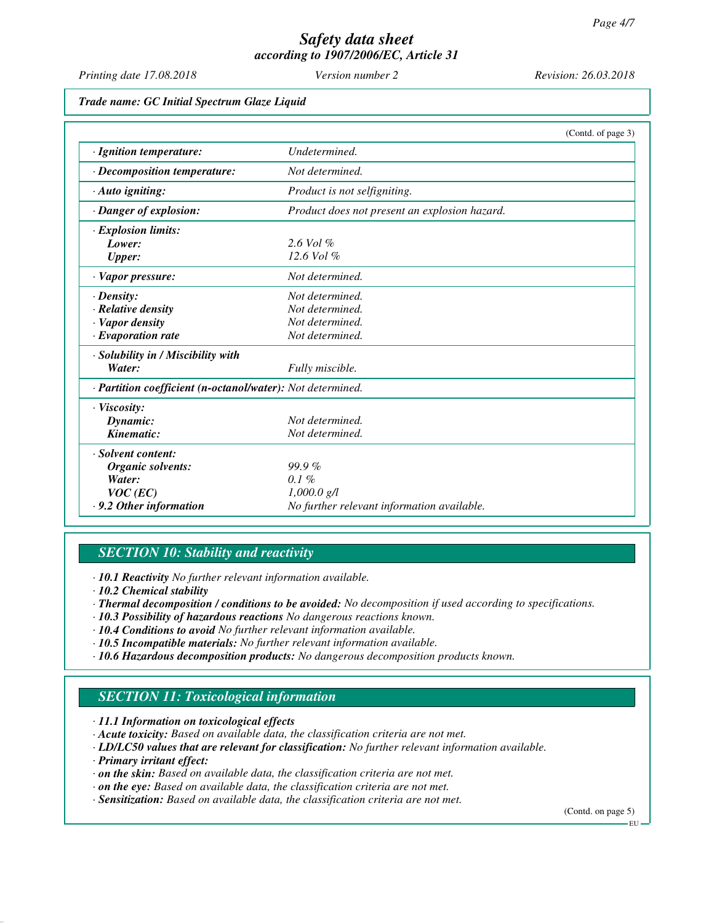*Printing date 17.08.2018 Version number 2 Revision: 26.03.2018*

*Trade name: GC Initial Spectrum Glaze Liquid*

|                                                            | (Contd. of page 3)                            |
|------------------------------------------------------------|-----------------------------------------------|
| · Ignition temperature:                                    | Undetermined.                                 |
| $\cdot$ Decomposition temperature:                         | Not determined.                               |
| · Auto igniting:                                           | Product is not selfigniting.                  |
| · Danger of explosion:                                     | Product does not present an explosion hazard. |
| $\cdot$ Explosion limits:                                  |                                               |
| Lower:                                                     | $2.6$ Vol $%$                                 |
| <b>Upper:</b>                                              | $12.6$ Vol $%$                                |
| · Vapor pressure:                                          | Not determined.                               |
| $\cdot$ Density:                                           | Not determined.                               |
| · Relative density                                         | Not determined.                               |
| · Vapor density                                            | Not determined.                               |
| $\cdot$ Evaporation rate                                   | Not determined.                               |
| · Solubility in / Miscibility with                         |                                               |
| Water:                                                     | Fully miscible.                               |
| · Partition coefficient (n-octanol/water): Not determined. |                                               |
| $\cdot$ Viscosity:                                         |                                               |
| Dynamic:                                                   | Not determined.                               |
| Kinematic:                                                 | Not determined.                               |
| · Solvent content:                                         |                                               |
| Organic solvents:                                          | $99.9\%$                                      |
| Water:                                                     | $0.1\%$                                       |
| $VOC$ (EC)                                                 | $1,000.0 \text{ g/l}$                         |
| $\cdot$ 9.2 Other information                              | No further relevant information available.    |

# *SECTION 10: Stability and reactivity*

*· 10.1 Reactivity No further relevant information available.*

- *· 10.2 Chemical stability*
- *· Thermal decomposition / conditions to be avoided: No decomposition if used according to specifications.*
- *· 10.3 Possibility of hazardous reactions No dangerous reactions known.*
- *· 10.4 Conditions to avoid No further relevant information available.*
- *· 10.5 Incompatible materials: No further relevant information available.*
- *· 10.6 Hazardous decomposition products: No dangerous decomposition products known.*

# *SECTION 11: Toxicological information*

*· 11.1 Information on toxicological effects*

- *· Acute toxicity: Based on available data, the classification criteria are not met.*
- *· LD/LC50 values that are relevant for classification: No further relevant information available.*
- *· Primary irritant effect:*
- *· on the skin: Based on available data, the classification criteria are not met.*
- *· on the eye: Based on available data, the classification criteria are not met.*
- *· Sensitization: Based on available data, the classification criteria are not met.*

(Contd. on page 5)

EU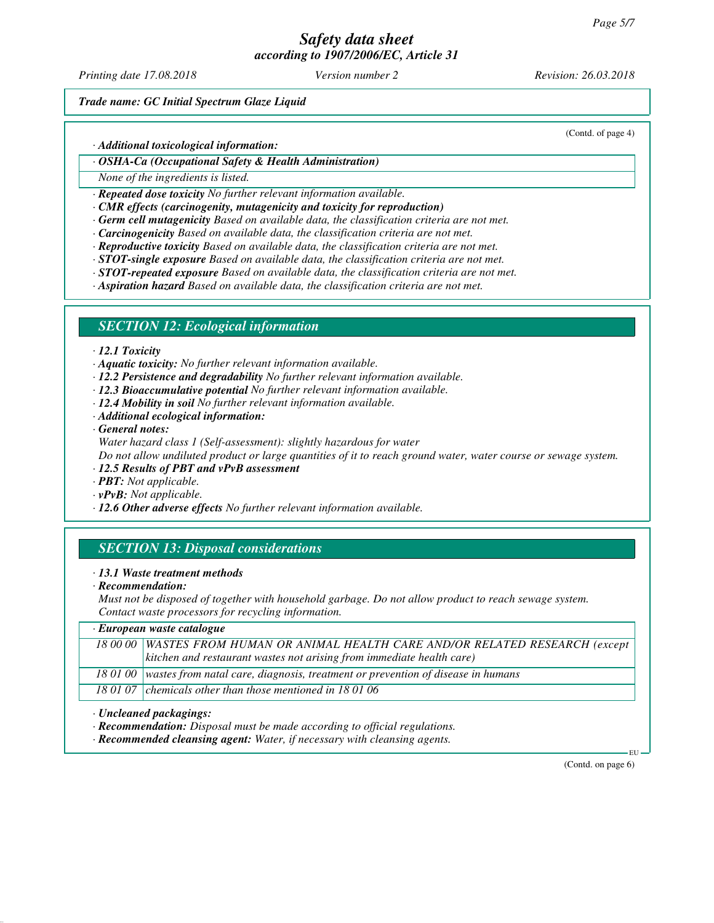# *Safety data sheet*

*according to 1907/2006/EC, Article 31*

*Printing date 17.08.2018 Version number 2 Revision: 26.03.2018*

(Contd. of page 4)

*Trade name: GC Initial Spectrum Glaze Liquid*

*· Additional toxicological information:*

*· OSHA-Ca (Occupational Safety & Health Administration)*

*None of the ingredients is listed.*

*· Repeated dose toxicity No further relevant information available.*

- *· CMR effects (carcinogenity, mutagenicity and toxicity for reproduction)*
- *· Germ cell mutagenicity Based on available data, the classification criteria are not met.*
- *· Carcinogenicity Based on available data, the classification criteria are not met.*
- *· Reproductive toxicity Based on available data, the classification criteria are not met.*
- *· STOT-single exposure Based on available data, the classification criteria are not met.*
- *· STOT-repeated exposure Based on available data, the classification criteria are not met.*

*· Aspiration hazard Based on available data, the classification criteria are not met.*

#### *SECTION 12: Ecological information*

- *· 12.1 Toxicity*
- *· Aquatic toxicity: No further relevant information available.*
- *· 12.2 Persistence and degradability No further relevant information available.*
- *· 12.3 Bioaccumulative potential No further relevant information available.*
- *· 12.4 Mobility in soil No further relevant information available.*
- *· Additional ecological information:*
- *· General notes:*

*Water hazard class 1 (Self-assessment): slightly hazardous for water*

*Do not allow undiluted product or large quantities of it to reach ground water, water course or sewage system.*

- *· 12.5 Results of PBT and vPvB assessment*
- *· PBT: Not applicable.*
- *· vPvB: Not applicable.*
- *· 12.6 Other adverse effects No further relevant information available.*

## *SECTION 13: Disposal considerations*

- *· 13.1 Waste treatment methods*
- *· Recommendation:*

*Must not be disposed of together with household garbage. Do not allow product to reach sewage system. Contact waste processors for recycling information.*

| $\cdot$ European waste catalogue                                                           |  |  |
|--------------------------------------------------------------------------------------------|--|--|
| 18 00 00 WASTES FROM HUMAN OR ANIMAL HEALTH CARE AND/OR RELATED RESEARCH (except           |  |  |
| kitchen and restaurant wastes not arising from immediate health care)                      |  |  |
| 18 01 00   wastes from natal care, diagnosis, treatment or prevention of disease in humans |  |  |
| 18 01 07 chemicals other than those mentioned in 18 01 06                                  |  |  |

- *· Uncleaned packagings:*
- *· Recommendation: Disposal must be made according to official regulations.*
- *· Recommended cleansing agent: Water, if necessary with cleansing agents.*

(Contd. on page 6)

EU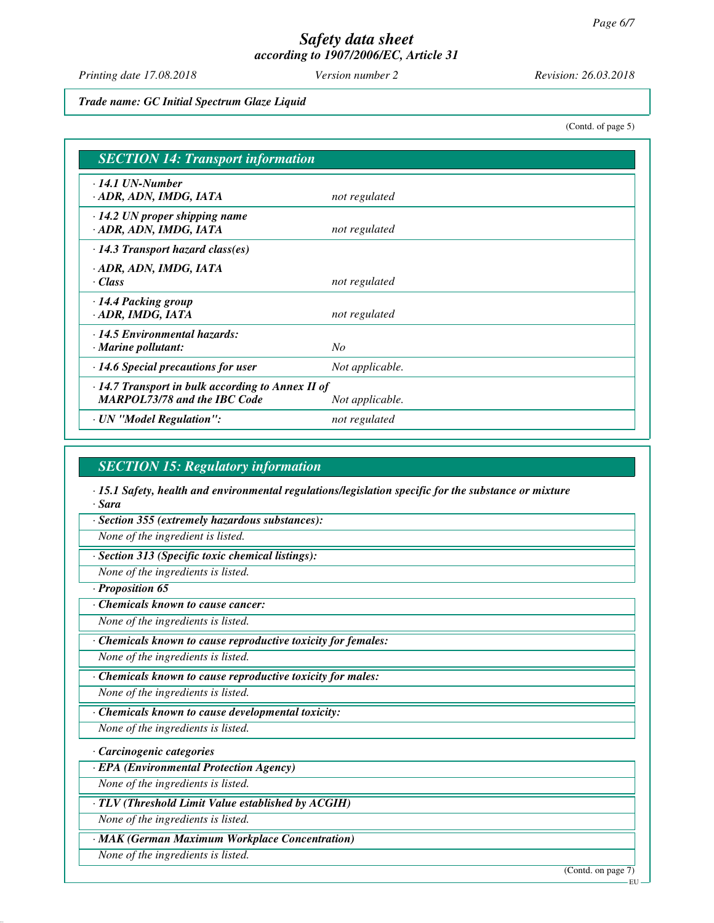*Printing date 17.08.2018 Version number 2 Revision: 26.03.2018*

*Trade name: GC Initial Spectrum Glaze Liquid*

(Contd. of page 5)

| <b>SECTION 14: Transport information</b>                                                 |                 |  |
|------------------------------------------------------------------------------------------|-----------------|--|
| $\cdot$ 14.1 UN-Number<br>· ADR, ADN, IMDG, IATA                                         | not regulated   |  |
| $\cdot$ 14.2 UN proper shipping name<br>· ADR, ADN, IMDG, IATA                           | not regulated   |  |
| $\cdot$ 14.3 Transport hazard class(es)                                                  |                 |  |
| · ADR, ADN, IMDG, IATA<br>· Class                                                        | not regulated   |  |
| · 14.4 Packing group<br>· ADR, IMDG, IATA                                                | not regulated   |  |
| $\cdot$ 14.5 Environmental hazards:<br>$\cdot$ Marine pollutant:                         | $N_{O}$         |  |
| $\cdot$ 14.6 Special precautions for user                                                | Not applicable. |  |
| · 14.7 Transport in bulk according to Annex II of<br><b>MARPOL73/78 and the IBC Code</b> | Not applicable. |  |
| · UN "Model Regulation":                                                                 | not regulated   |  |

## *SECTION 15: Regulatory information*

*· 15.1 Safety, health and environmental regulations/legislation specific for the substance or mixture · Sara*

*· Section 355 (extremely hazardous substances):*

*None of the ingredient is listed.*

*· Section 313 (Specific toxic chemical listings):*

*None of the ingredients is listed.*

*· Proposition 65*

*· Chemicals known to cause cancer:*

*None of the ingredients is listed.*

*· Chemicals known to cause reproductive toxicity for females:*

*None of the ingredients is listed.*

*· Chemicals known to cause reproductive toxicity for males:*

*None of the ingredients is listed.*

*· Chemicals known to cause developmental toxicity:*

*None of the ingredients is listed.*

*· Carcinogenic categories*

*· EPA (Environmental Protection Agency)*

*None of the ingredients is listed.*

*· TLV (Threshold Limit Value established by ACGIH)*

*None of the ingredients is listed.*

*· MAK (German Maximum Workplace Concentration)*

*None of the ingredients is listed.*

(Contd. on page 7)

**EU**